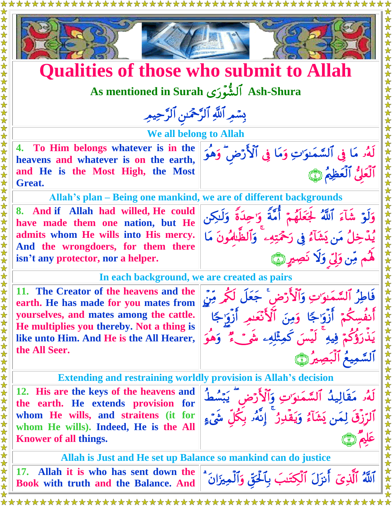



## **Qualities of those who submit to Allah**

**As mentioned in Surah Ash-Shura**

**بِسَمِرِ ٱللَّٰهِ ٱلرَّحْمَـٰ**نِ ٱلرَّحِيمِرِ

**We all belong to Allah**

**4. To Him belongs whatever is in the heavens and whatever is on the earth, and He is the Most High, the Most Great.**

**Allah's plan – Being one mankind, we are of different backgrounds**

**8. And if Allah had willed, He could have made them one nation, but He admits whom He wills into His mercy. And the wrongdoers, for them there isn't any protector, nor a helper.**



لَّهُو مَا فِي ٱلسَّمَـٰوَّتِ وَمَا فِي ٱلْأَرْضِ ۖ وَهُوَ

اَلْعَلَيَّ اَلْعَظِيمَ ۞

**In each background, we are created as pairs**

**11. The Creator of the heavens and the earth. He has made for you mates from yourselves, and mates among the cattle. He multiplies you thereby. Not a thing is like unto Him. And He is the All Hearer, the All Seer.**



**Extending and restraining worldly provision is Allah's decision**

**12. His are the keys of the heavens and the earth. He extends provision for whom He wills, and straitens (it for whom He wills). Indeed, He is the All Knower of all things.** 

لَّهُو مَقَالِيدُ ٱلسَّمَّوَّتِ وَٱلْأَرْضَ ۖ يَبْسُطُ اَلرَّزِقِ لِمَن يَشَأْءُ وَيَقْدِرُ ۖ إِنَّهُۥ بِكُلِّ شَيْءٍ عَليمَ (٣٦

**Allah is Just and He set up Balance so mankind can do justice**

**17. Allah it is who has sent down the** 

**Book with truth and the Balance. And**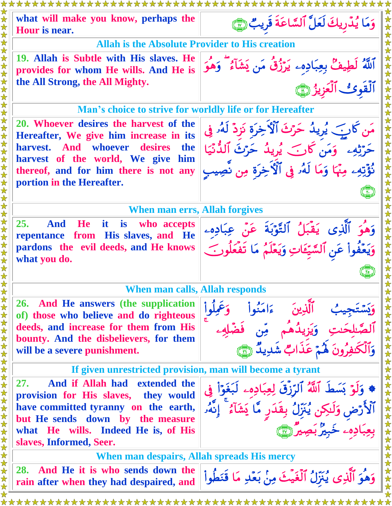**what will make you know, perhaps the Hour is near.**  وَمَا يُدَّرِيكَ لَعَلَّ ٱلسَّاعَةِ قَرِيبٌ **Allah is the Absolute Provider to His creation 19. Allah is Subtle with His slaves. He provides for whom He wills. And He is the All Strong, the All Mighty.**  آللَّهُ لَطِيفٌ بِعِبَادِهِۦ يَرْزُقُ مَن يَشَأْءُ ۖ وَهِوَ ٱلْقَوِئِ ٱلْعَزِيزُ ١ **Man's choice to strive for worldly life or for Hereafter 20. Whoever desires the harvest of the Hereafter, We give him increase in its harvest. And whoever desires the harvest of the world, We give him thereof, and for him there is not any portion in the Hereafter.**  مَن كَانَبَ يُرِيدُ حَرْثَ ٱلْأَخِرَةِ نَزِدٌ لَهُۥ فِي حَرَّثِهِۦ ۗ وَمَن كَانَ ۗ يُرِيدُ حَرَّثَ ٱلدَّنْيَا نُؤْتِهِۦ مِنْهَا وَمَا لَهُۥ فِي ٱلْأَخِرَةِ مِن نَصِيب  $\begin{pmatrix} 1 \\ 1 \end{pmatrix}$ **When man errs, Allah forgives 25. And He it is who accepts repentance from His slaves, and He pardons the evil deeds, and He knows what you do.**  وَهُوَ ٱلَّذِي يَقْبَلُ ٱلتَّوْبَةَ عَنْ عِبَادِهِۦ وَيَعْفُواْ عَنِ ٱلسَّيِّعَاتِ وَيَعْلَمُ مَا تَفْعَلُونَ ۖ  $\begin{pmatrix} 1 & 1 \\ 1 & 1 \end{pmatrix}$ **When man calls, Allah responds 26. And He answers (the supplication of) those who believe and do righteous deeds, and increase for them from His bounty. And the disbelievers, for them will be a severe punishment.** وأ وعملوا وَيَسْتَجِيبُ ٱلَّذِينَ ءَامَدُ الصَّلحَنتِ وَيَزِيدُهُم مِّن فَضَّلِهِء وَالْكُنْفِرُونَ هُمْ عَذَابٌ شَدِيدٌ (ْ﴾ **If given unrestricted provision, man will become a tyrant 27. And if Allah had extended the provision for His slaves, they would have committed tyranny on the earth, but He sends down by the measure what He wills. Indeed He is, of His slaves, Informed, Seer.** \* وَلَوْ بَسَطَ ٱللَّهُ ٱلرِّزْقَ لِعِبَادِهِۦ لَبَغَوَاْ فِي الأرْض وَلَٰكِن يُنَزِّلُ بِقِدَرٍ مَّا يَشَأْءُ ۖ إِنَّهُۥ بعِبَادِهِۦ خَبِيرٌ بِصِيرٌ (٣) **When man despairs, Allah spreads His mercy 28. And He it is who sends down the rain after when they had despaired, and**  وَهُوَ ٱلَّذِي يُنَزِّلُ ٱلْغَيْثَ مِنْ بَعْدِ مَا قَنَطْ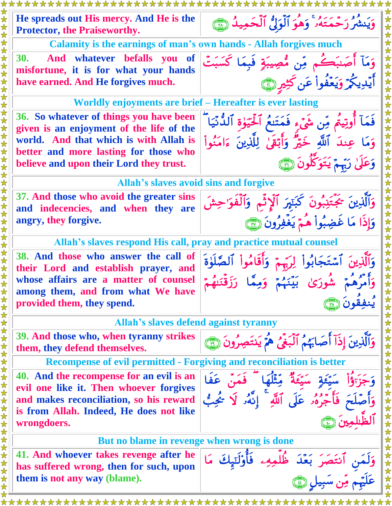| He spreads out His mercy. And He is the<br><b>Protector, the Praiseworthy.</b>                                                                                                                                    | وَيَنشُرُ رَحْمَتَهُۥ ۚ وَهُوَ ٱلْوَلِّ ٱلْحَمِيدُ ۞                                                                                                                |
|-------------------------------------------------------------------------------------------------------------------------------------------------------------------------------------------------------------------|---------------------------------------------------------------------------------------------------------------------------------------------------------------------|
| <b>Calamity is the earnings of man's own hands - Allah forgives much</b>                                                                                                                                          |                                                                                                                                                                     |
| <b>30.</b><br>And whatever befalls you<br><b>of</b><br>misfortune, it is for what your hands<br>have earned. And He forgives much.                                                                                | وَمَآ أَصَـٰبَكُم مِّن مُّصِيبَةٍ فَبِمَا كَسَبَتْ<br>أَيْدِيكُمْ وَيَعْفُواْ عَن كَثِيرٍ هِيَ                                                                      |
| Worldly enjoyments are brief – Hereafter is ever lasting                                                                                                                                                          |                                                                                                                                                                     |
| 36. So whatever of things you have been<br>given is an enjoyment of the life of the<br>world. And that which is with Allah is<br>better and more lasting for those who<br>believe and upon their Lord they trust. | فَمَآ أَوتِيتُم مِّن شَىۡء فَمَتَنعُ ٱلۡحَيَوٰةِ ٱللَّٰٓنَيَا ۖ<br>وَمَا عِندَ ٱللَّهِ خَيْرٌ وَأَبْقَىٰ لِلَّذِينَ ءَامَنُواْ<br>وَعَلَىٰ رَبِّمْ يَتَوَكَّلُونَ ١ |
| Allah's slaves avoid sins and forgive                                                                                                                                                                             |                                                                                                                                                                     |
| 37. And those who avoid the greater sins<br>and indecencies, and when they are<br>angry, they forgive.                                                                                                            | وَٱلَّذِينَ ۚ يُجَتَّنِبُونَ كَبَتِيرَ ٱلۡإِثۡمِ وَٱلۡفَوَاحِشَ<br>وَإِذَا مَا غَضِبُواْ هُمْ يَغْفِرُونَ (٢                                                        |
| Allah's slaves respond His call, pray and practice mutual counsel                                                                                                                                                 |                                                                                                                                                                     |
| 38. And those who answer the call of<br>their Lord and establish prayer, and                                                                                                                                      | وَٱلَّذِينَ ٱسۡتَجَابُوا۟ لِرَبِّهِمۡ وَأَقَامُوا۟ ٱلصَّلَوٰةَ                                                                                                      |
| whose affairs are a matter of counsel<br>among them, and from what We have<br>provided them, they spend.                                                                                                          | رُهُمْ شُورَيْ بَيْنَهُمْ                                                                                                                                           |
| <b>Allah's slaves defend against tyranny</b>                                                                                                                                                                      |                                                                                                                                                                     |
| 39. And those who, when tyranny strikes<br>them, they defend themselves.                                                                                                                                          | وَٱلَّذِينَ إِذَآ أَصَابَهُمُ ٱلۡبَغۡىُ هُمۡ يَنتَصِرُونَ رَبَّيَ                                                                                                   |
| <b>Recompense of evil permitted - Forgiving and reconciliation is better</b>                                                                                                                                      |                                                                                                                                                                     |
| 40. And the recompense for an evil is an<br>evil one like it. Then whoever forgives<br>and makes reconciliation, so his reward<br>is from Allah. Indeed, He does not like<br>wrongdoers.                          | فَمَنْ عَفَا<br>: فَأَجْرُهُ مِ عَلَى ٱللَّهِ ۚ إِنَّهُۥ لَا يُجِبُّ                                                                                                |
| But no blame in revenge when wrong is done                                                                                                                                                                        |                                                                                                                                                                     |
| 41. And whoever takes revenge after he<br>has suffered wrong, then for such, upon                                                                                                                                 | وَلَمَنِ ٱنتَصَرَ بَعۡدَ ظُلَّا<br>عَلَيۡمَ مِّن سَبِيل (۩)                                                                                                         |
| them is not any way (blame).                                                                                                                                                                                      |                                                                                                                                                                     |